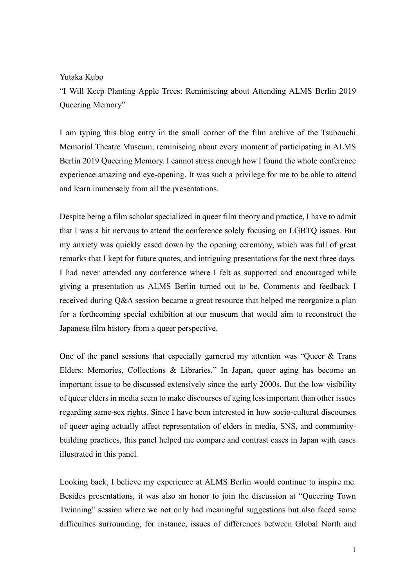## Yutaka Kubo

"I Will Keep Planting Apple Trees: Reminiscing about Attending ALMS Berlin 2019 Queering Memory"

I am typing this blog entry in the small corner of the film archive of the Tsubouchi Memorial Theatre Museum, reminiscing about every moment of participating in ALMS Berlin 2019 Queering Memory. I cannot stress enough how I found the whole conference experience amazing and eye-opening. It was such a privilege for me to be able to attend and learn immensely from all the presentations.

Despite being a film scholar specialized in queer film theory and practice, I have to admit that I was a bit nervous to attend the conference solely focusing on LGBTQ issues. But my anxiety was quickly eased down by the opening ceremony, which was full of great remarks that I kept for future quotes, and intriguing presentations for the next three days. I had never attended any conference where I felt as supported and encouraged while giving a presentation as ALMS Berlin turned out to be. Comments and feedback I received during Q&A session became a great resource that helped me reorganize a plan for a forthcoming special exhibition at our museum that would aim to reconstruct the Japanese film history from a queer perspective.

One of the panel sessions that especially garnered my attention was "Queer & Trans Elders: Memories, Collections & Libraries." In Japan, queer aging has become an important issue to be discussed extensively since the early 2000s. But the low visibility of queer elders in media seem to make discourses of aging less important than other issues regarding same-sex rights. Since I have been interested in how socio-cultural discourses of queer aging actually affect representation of elders in media, SNS, and communitybuilding practices, this panel helped me compare and contrast cases in Japan with cases illustrated in this panel.

Looking back, I believe my experience at ALMS Berlin would continue to inspire me. Besides presentations, it was also an honor to join the discussion at "Queering Town Twinning" session where we not only had meaningful suggestions but also faced some difficulties surrounding, for instance, issues of differences between Global North and